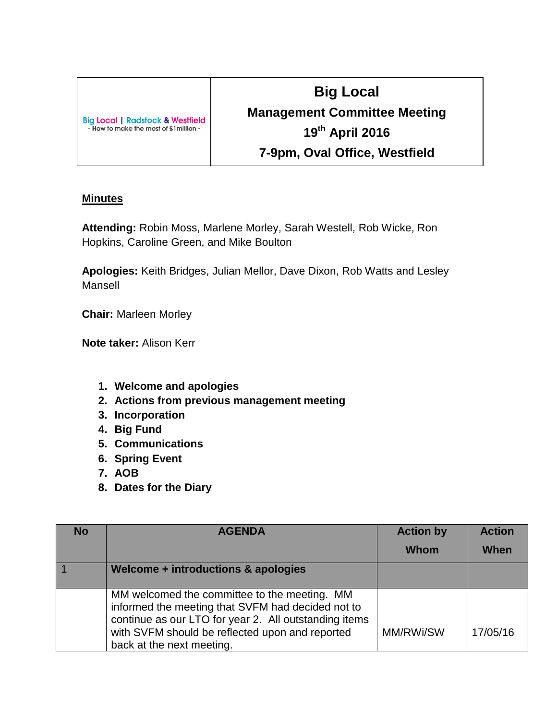| <b>Big Local   Radstock &amp; Westfield</b> |  |
|---------------------------------------------|--|
| - How to make the most of £1 million -      |  |

## **Big Local Management Committee Meeting 19th April 2016 7-9pm, Oval Office, Westfield**

## **Minutes**

**Attending:** Robin Moss, Marlene Morley, Sarah Westell, Rob Wicke, Ron Hopkins, Caroline Green, and Mike Boulton

**Apologies:** Keith Bridges, Julian Mellor, Dave Dixon, Rob Watts and Lesley Mansell

**Chair:** Marleen Morley

**Note taker:** Alison Kerr

- **1. Welcome and apologies**
- **2. Actions from previous management meeting**
- **3. Incorporation**
- **4. Big Fund**
- **5. Communications**
- **6. Spring Event**
- **7. AOB**
- **8. Dates for the Diary**

| <b>No</b> | <b>AGENDA</b>                                                                                                                                                                                                                              | <b>Action by</b> | <b>Action</b> |
|-----------|--------------------------------------------------------------------------------------------------------------------------------------------------------------------------------------------------------------------------------------------|------------------|---------------|
|           |                                                                                                                                                                                                                                            | <b>Whom</b>      | When          |
|           | Welcome + introductions & apologies                                                                                                                                                                                                        |                  |               |
|           | MM welcomed the committee to the meeting. MM<br>informed the meeting that SVFM had decided not to<br>continue as our LTO for year 2. All outstanding items<br>with SVFM should be reflected upon and reported<br>back at the next meeting. | MM/RWi/SW        | 17/05/16      |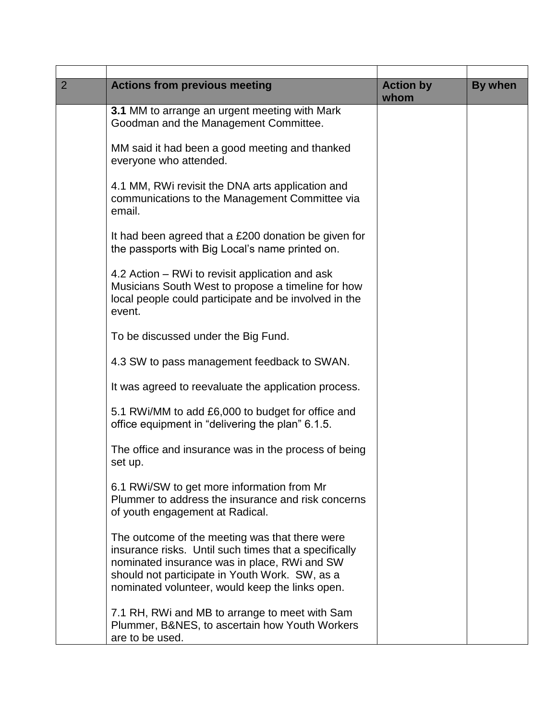| $\overline{2}$ | <b>Actions from previous meeting</b>                                                                                                                                                                                                                         | <b>Action by</b><br>whom | By when |
|----------------|--------------------------------------------------------------------------------------------------------------------------------------------------------------------------------------------------------------------------------------------------------------|--------------------------|---------|
|                | 3.1 MM to arrange an urgent meeting with Mark<br>Goodman and the Management Committee.                                                                                                                                                                       |                          |         |
|                | MM said it had been a good meeting and thanked<br>everyone who attended.                                                                                                                                                                                     |                          |         |
|                | 4.1 MM, RWi revisit the DNA arts application and<br>communications to the Management Committee via<br>email.                                                                                                                                                 |                          |         |
|                | It had been agreed that a £200 donation be given for<br>the passports with Big Local's name printed on.                                                                                                                                                      |                          |         |
|                | 4.2 Action - RWi to revisit application and ask<br>Musicians South West to propose a timeline for how<br>local people could participate and be involved in the<br>event.                                                                                     |                          |         |
|                | To be discussed under the Big Fund.                                                                                                                                                                                                                          |                          |         |
|                | 4.3 SW to pass management feedback to SWAN.                                                                                                                                                                                                                  |                          |         |
|                | It was agreed to reevaluate the application process.                                                                                                                                                                                                         |                          |         |
|                | 5.1 RWi/MM to add £6,000 to budget for office and<br>office equipment in "delivering the plan" 6.1.5.                                                                                                                                                        |                          |         |
|                | The office and insurance was in the process of being<br>set up.                                                                                                                                                                                              |                          |         |
|                | 6.1 RWi/SW to get more information from Mr<br>Plummer to address the insurance and risk concerns<br>of youth engagement at Radical.                                                                                                                          |                          |         |
|                | The outcome of the meeting was that there were<br>insurance risks. Until such times that a specifically<br>nominated insurance was in place, RWi and SW<br>should not participate in Youth Work. SW, as a<br>nominated volunteer, would keep the links open. |                          |         |
|                | 7.1 RH, RWi and MB to arrange to meet with Sam<br>Plummer, B&NES, to ascertain how Youth Workers<br>are to be used.                                                                                                                                          |                          |         |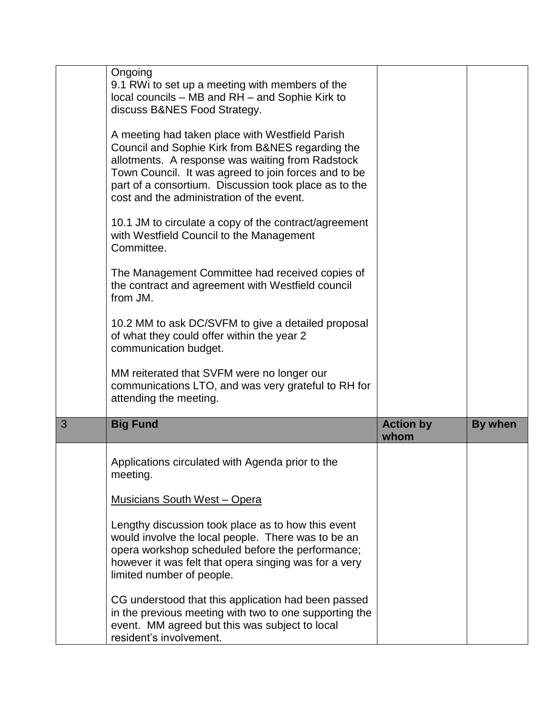|   | Ongoing<br>9.1 RWi to set up a meeting with members of the<br>local councils – MB and RH – and Sophie Kirk to<br>discuss B&NES Food Strategy.                                                                                                                                                                         |                          |         |
|---|-----------------------------------------------------------------------------------------------------------------------------------------------------------------------------------------------------------------------------------------------------------------------------------------------------------------------|--------------------------|---------|
|   | A meeting had taken place with Westfield Parish<br>Council and Sophie Kirk from B&NES regarding the<br>allotments. A response was waiting from Radstock<br>Town Council. It was agreed to join forces and to be<br>part of a consortium. Discussion took place as to the<br>cost and the administration of the event. |                          |         |
|   | 10.1 JM to circulate a copy of the contract/agreement<br>with Westfield Council to the Management<br>Committee.                                                                                                                                                                                                       |                          |         |
|   | The Management Committee had received copies of<br>the contract and agreement with Westfield council<br>from JM.                                                                                                                                                                                                      |                          |         |
|   | 10.2 MM to ask DC/SVFM to give a detailed proposal<br>of what they could offer within the year 2<br>communication budget.                                                                                                                                                                                             |                          |         |
|   | MM reiterated that SVFM were no longer our<br>communications LTO, and was very grateful to RH for<br>attending the meeting.                                                                                                                                                                                           |                          |         |
| 3 | <b>Big Fund</b>                                                                                                                                                                                                                                                                                                       | <b>Action by</b><br>whom | By when |
|   | Applications circulated with Agenda prior to the<br>meeting.                                                                                                                                                                                                                                                          |                          |         |
|   | <b>Musicians South West - Opera</b>                                                                                                                                                                                                                                                                                   |                          |         |
|   | Lengthy discussion took place as to how this event<br>would involve the local people. There was to be an<br>opera workshop scheduled before the performance;<br>however it was felt that opera singing was for a very<br>limited number of people.                                                                    |                          |         |
|   | CG understood that this application had been passed<br>in the previous meeting with two to one supporting the<br>event. MM agreed but this was subject to local<br>resident's involvement.                                                                                                                            |                          |         |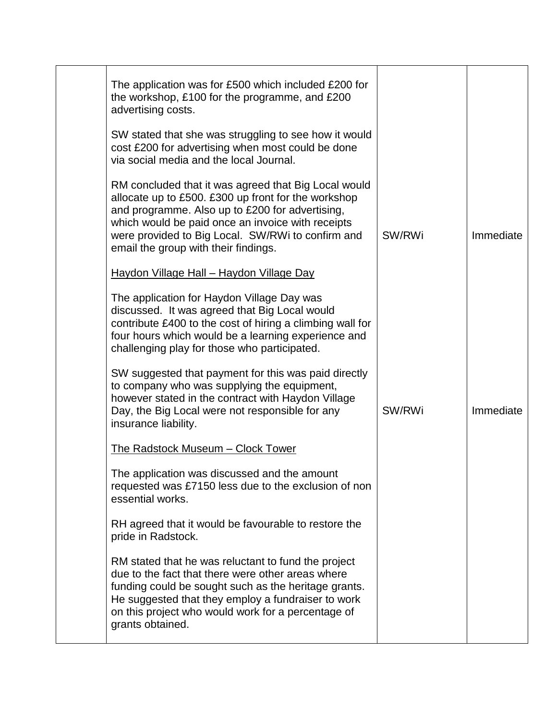| The application was for £500 which included £200 for                                                                                                                                                                                                                                                             |        |           |
|------------------------------------------------------------------------------------------------------------------------------------------------------------------------------------------------------------------------------------------------------------------------------------------------------------------|--------|-----------|
| the workshop, £100 for the programme, and £200<br>advertising costs.                                                                                                                                                                                                                                             |        |           |
| SW stated that she was struggling to see how it would<br>cost £200 for advertising when most could be done<br>via social media and the local Journal.                                                                                                                                                            |        |           |
| RM concluded that it was agreed that Big Local would<br>allocate up to £500. £300 up front for the workshop<br>and programme. Also up to £200 for advertising,<br>which would be paid once an invoice with receipts<br>were provided to Big Local. SW/RWi to confirm and<br>email the group with their findings. | SW/RWi | Immediate |
| Haydon Village Hall - Haydon Village Day                                                                                                                                                                                                                                                                         |        |           |
| The application for Haydon Village Day was<br>discussed. It was agreed that Big Local would<br>contribute £400 to the cost of hiring a climbing wall for<br>four hours which would be a learning experience and<br>challenging play for those who participated.                                                  |        |           |
| SW suggested that payment for this was paid directly<br>to company who was supplying the equipment,<br>however stated in the contract with Haydon Village<br>Day, the Big Local were not responsible for any<br>insurance liability.                                                                             | SW/RWi | Immediate |
| The Radstock Museum - Clock Tower                                                                                                                                                                                                                                                                                |        |           |
| The application was discussed and the amount<br>requested was £7150 less due to the exclusion of non<br>essential works.                                                                                                                                                                                         |        |           |
| RH agreed that it would be favourable to restore the<br>pride in Radstock.                                                                                                                                                                                                                                       |        |           |
| RM stated that he was reluctant to fund the project<br>due to the fact that there were other areas where<br>funding could be sought such as the heritage grants.<br>He suggested that they employ a fundraiser to work<br>on this project who would work for a percentage of<br>grants obtained.                 |        |           |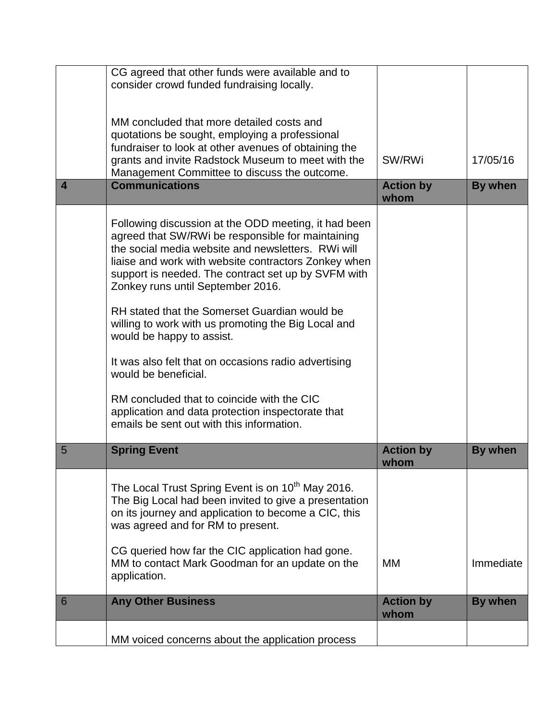|                         | CG agreed that other funds were available and to<br>consider crowd funded fundraising locally.                                                                                                                                                                                                                                                                                                                                                                                                                                                                                                                                                                                           |                          |                |
|-------------------------|------------------------------------------------------------------------------------------------------------------------------------------------------------------------------------------------------------------------------------------------------------------------------------------------------------------------------------------------------------------------------------------------------------------------------------------------------------------------------------------------------------------------------------------------------------------------------------------------------------------------------------------------------------------------------------------|--------------------------|----------------|
|                         |                                                                                                                                                                                                                                                                                                                                                                                                                                                                                                                                                                                                                                                                                          |                          |                |
|                         | MM concluded that more detailed costs and<br>quotations be sought, employing a professional<br>fundraiser to look at other avenues of obtaining the<br>grants and invite Radstock Museum to meet with the<br>Management Committee to discuss the outcome.                                                                                                                                                                                                                                                                                                                                                                                                                                | SW/RWi                   | 17/05/16       |
| $\overline{\mathbf{4}}$ | <b>Communications</b>                                                                                                                                                                                                                                                                                                                                                                                                                                                                                                                                                                                                                                                                    | <b>Action by</b><br>whom | <b>By when</b> |
|                         | Following discussion at the ODD meeting, it had been<br>agreed that SW/RWi be responsible for maintaining<br>the social media website and newsletters. RWi will<br>liaise and work with website contractors Zonkey when<br>support is needed. The contract set up by SVFM with<br>Zonkey runs until September 2016.<br>RH stated that the Somerset Guardian would be<br>willing to work with us promoting the Big Local and<br>would be happy to assist.<br>It was also felt that on occasions radio advertising<br>would be beneficial.<br>RM concluded that to coincide with the CIC<br>application and data protection inspectorate that<br>emails be sent out with this information. |                          |                |
| 5                       | <b>Spring Event</b>                                                                                                                                                                                                                                                                                                                                                                                                                                                                                                                                                                                                                                                                      | <b>Action by</b><br>whom | <b>By when</b> |
|                         | The Local Trust Spring Event is on 10 <sup>th</sup> May 2016.<br>The Big Local had been invited to give a presentation<br>on its journey and application to become a CIC, this<br>was agreed and for RM to present.                                                                                                                                                                                                                                                                                                                                                                                                                                                                      |                          |                |
|                         | CG queried how far the CIC application had gone.<br>MM to contact Mark Goodman for an update on the<br>application.                                                                                                                                                                                                                                                                                                                                                                                                                                                                                                                                                                      | MM                       | Immediate      |
| 6                       | <b>Any Other Business</b>                                                                                                                                                                                                                                                                                                                                                                                                                                                                                                                                                                                                                                                                | <b>Action by</b><br>whom | <b>By when</b> |
|                         | MM voiced concerns about the application process                                                                                                                                                                                                                                                                                                                                                                                                                                                                                                                                                                                                                                         |                          |                |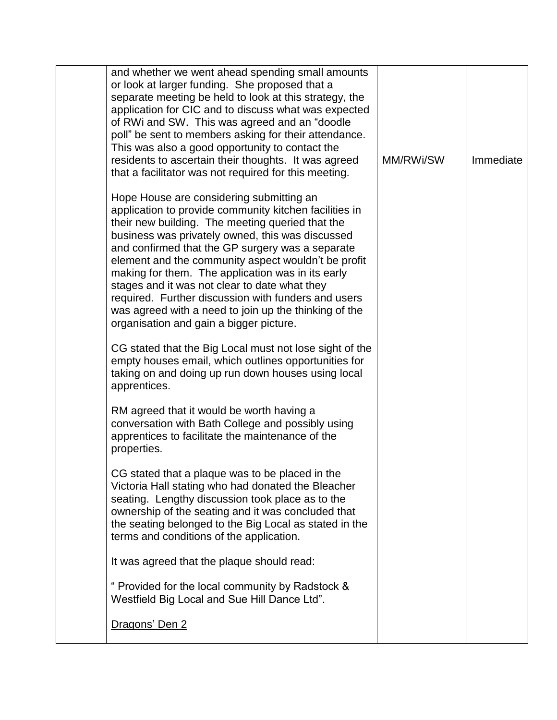| and whether we went ahead spending small amounts<br>or look at larger funding. She proposed that a<br>separate meeting be held to look at this strategy, the<br>application for CIC and to discuss what was expected<br>of RWi and SW. This was agreed and an "doodle"<br>poll" be sent to members asking for their attendance.<br>This was also a good opportunity to contact the<br>residents to ascertain their thoughts. It was agreed<br>that a facilitator was not required for this meeting.                                                                                    | MM/RWi/SW | Immediate |
|----------------------------------------------------------------------------------------------------------------------------------------------------------------------------------------------------------------------------------------------------------------------------------------------------------------------------------------------------------------------------------------------------------------------------------------------------------------------------------------------------------------------------------------------------------------------------------------|-----------|-----------|
| Hope House are considering submitting an<br>application to provide community kitchen facilities in<br>their new building. The meeting queried that the<br>business was privately owned, this was discussed<br>and confirmed that the GP surgery was a separate<br>element and the community aspect wouldn't be profit<br>making for them. The application was in its early<br>stages and it was not clear to date what they<br>required. Further discussion with funders and users<br>was agreed with a need to join up the thinking of the<br>organisation and gain a bigger picture. |           |           |
| CG stated that the Big Local must not lose sight of the<br>empty houses email, which outlines opportunities for<br>taking on and doing up run down houses using local<br>apprentices.                                                                                                                                                                                                                                                                                                                                                                                                  |           |           |
| RM agreed that it would be worth having a<br>conversation with Bath College and possibly using<br>apprentices to facilitate the maintenance of the<br>properties.                                                                                                                                                                                                                                                                                                                                                                                                                      |           |           |
| CG stated that a plaque was to be placed in the<br>Victoria Hall stating who had donated the Bleacher<br>seating. Lengthy discussion took place as to the<br>ownership of the seating and it was concluded that<br>the seating belonged to the Big Local as stated in the<br>terms and conditions of the application.                                                                                                                                                                                                                                                                  |           |           |
| It was agreed that the plaque should read:                                                                                                                                                                                                                                                                                                                                                                                                                                                                                                                                             |           |           |
| " Provided for the local community by Radstock &<br>Westfield Big Local and Sue Hill Dance Ltd".                                                                                                                                                                                                                                                                                                                                                                                                                                                                                       |           |           |
| Dragons' Den 2                                                                                                                                                                                                                                                                                                                                                                                                                                                                                                                                                                         |           |           |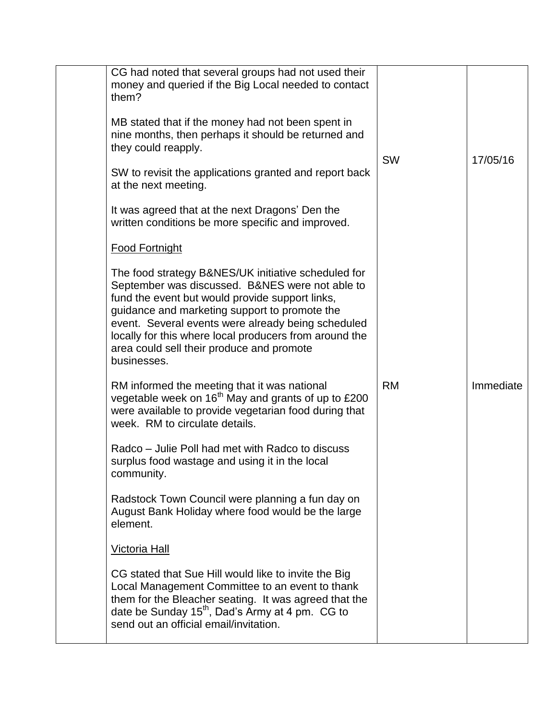| CG had noted that several groups had not used their<br>money and queried if the Big Local needed to contact<br>them?<br>MB stated that if the money had not been spent in<br>nine months, then perhaps it should be returned and<br>they could reapply.<br>SW to revisit the applications granted and report back<br>at the next meeting.<br>It was agreed that at the next Dragons' Den the<br>written conditions be more specific and improved. | <b>SW</b> | 17/05/16  |
|---------------------------------------------------------------------------------------------------------------------------------------------------------------------------------------------------------------------------------------------------------------------------------------------------------------------------------------------------------------------------------------------------------------------------------------------------|-----------|-----------|
| <b>Food Fortnight</b><br>The food strategy B&NES/UK initiative scheduled for<br>September was discussed. B&NES were not able to<br>fund the event but would provide support links,<br>guidance and marketing support to promote the<br>event. Several events were already being scheduled<br>locally for this where local producers from around the<br>area could sell their produce and promote<br>businesses.                                   |           |           |
| RM informed the meeting that it was national<br>vegetable week on 16 <sup>th</sup> May and grants of up to £200<br>were available to provide vegetarian food during that<br>week. RM to circulate details.<br>Radco – Julie Poll had met with Radco to discuss<br>surplus food wastage and using it in the local<br>community.<br>Radstock Town Council were planning a fun day on                                                                | <b>RM</b> | Immediate |
| August Bank Holiday where food would be the large<br>element.<br><b>Victoria Hall</b><br>CG stated that Sue Hill would like to invite the Big<br>Local Management Committee to an event to thank<br>them for the Bleacher seating. It was agreed that the<br>date be Sunday 15 <sup>th</sup> , Dad's Army at 4 pm. CG to<br>send out an official email/invitation.                                                                                |           |           |